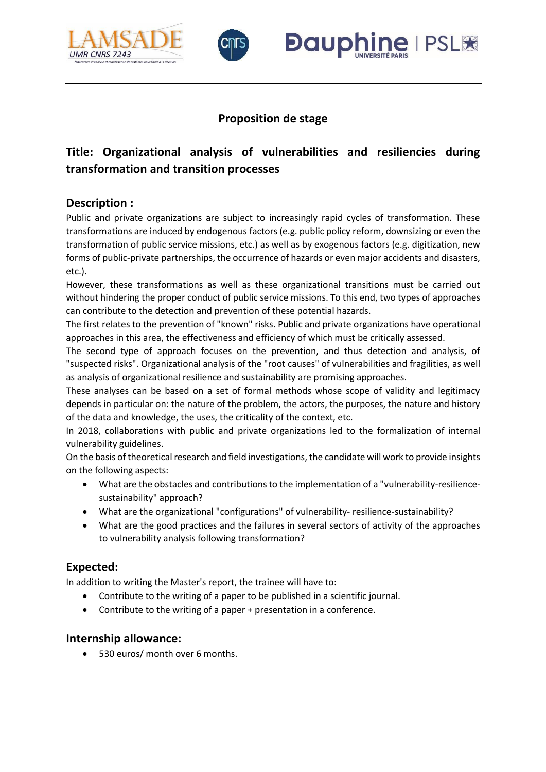



## **Proposition de stage**

**Dauphir** 

**I PSL笼** 

# **Title: Organizational analysis of vulnerabilities and resiliencies during transformation and transition processes**

### **Description :**

Public and private organizations are subject to increasingly rapid cycles of transformation. These transformations are induced by endogenous factors (e.g. public policy reform, downsizing or even the transformation of public service missions, etc.) as well as by exogenous factors (e.g. digitization, new forms of public-private partnerships, the occurrence of hazards or even major accidents and disasters, etc.).

However, these transformations as well as these organizational transitions must be carried out without hindering the proper conduct of public service missions. To this end, two types of approaches can contribute to the detection and prevention of these potential hazards.

The first relates to the prevention of "known" risks. Public and private organizations have operational approaches in this area, the effectiveness and efficiency of which must be critically assessed.

The second type of approach focuses on the prevention, and thus detection and analysis, of "suspected risks". Organizational analysis of the "root causes" of vulnerabilities and fragilities, as well as analysis of organizational resilience and sustainability are promising approaches.

These analyses can be based on a set of formal methods whose scope of validity and legitimacy depends in particular on: the nature of the problem, the actors, the purposes, the nature and history of the data and knowledge, the uses, the criticality of the context, etc.

In 2018, collaborations with public and private organizations led to the formalization of internal vulnerability guidelines.

On the basis of theoretical research and field investigations, the candidate will work to provide insights on the following aspects:

- What are the obstacles and contributions to the implementation of a "vulnerability-resiliencesustainability" approach?
- What are the organizational "configurations" of vulnerability- resilience-sustainability?
- What are the good practices and the failures in several sectors of activity of the approaches to vulnerability analysis following transformation?

## **Expected:**

In addition to writing the Master's report, the trainee will have to:

- Contribute to the writing of a paper to be published in a scientific journal.
- Contribute to the writing of a paper + presentation in a conference.

#### **Internship allowance:**

• 530 euros/ month over 6 months.